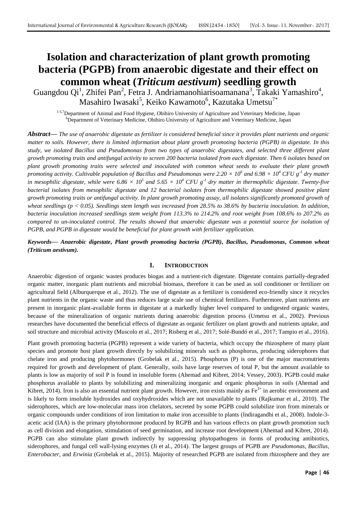# **Isolation and characterization of plant growth promoting bacteria (PGPB) from anaerobic digestate and their effect on common wheat (***Triticum aestivum***) seedling growth**

Guangdou Qi<sup>1</sup>, Zhifei Pan<sup>2</sup>, Fetra J. Andriamanohiarisoamanana<sup>3</sup>, Takaki Yamashiro<sup>4</sup>, Masahiro Iwasaki $^5$ , Keiko Kawamoto $^6$ , Kazutaka Umetsu $^{7^\ast}$ 

1-5,7Department of Animal and Food Hygiene, Obihiro University of Agriculture and Veterinary Medicine, Japan <sup>6</sup>Department of Veterinary Medicine, Obihiro University of Agriculture and Veterinary Medicine, Japan

*Abstract***—** *The use of anaerobic digestate as fertilizer is considered beneficial since it provides plant nutrients and organic matter to soils. However, there is limited information about plant growth promoting bacteria (PGPB) in digestate. In this study, we isolated Bacillus and Pseudomonas from two types of anaerobic digestates, and selected three different plant growth promoting traits and antifungal activity to screen 200 bacteria isolated from each digestate. Then 6 isolates based on plant growth promoting traits were selected and inoculated with common wheat seeds to evaluate their plant growth promoting activity. Cultivable population of Bacillus and Pseudomonas were 2.20 × 10<sup>6</sup> and 6.98 × 10<sup>4</sup> CFU g-1 dry matter in mesophilic digestate, while were*  $6.86 \times 10^5$  and  $5.65 \times 10^4$  CFU g<sup>-1</sup> dry matter in thermophilic digestate. Twenty-five *bacterial isolates from mesophilic digestate and 12 bacterial isolates from thermophilic digestate showed positive plant growth promoting traits or antifungal activity. In plant growth promoting assay, all isolates significantly promoted growth of wheat seedlings (p < 0.05). Seedlings stem length was increased from 28.5% to 38.6% by bacteria inoculation. In addition, bacteria inoculation increased seedlings stem weight from 113.3% to 214.2% and root weight from 108.6% to 207.2% as compared to un-inoculated control. The results showed that anaerobic digestate was a potential source for isolation of PGPB, and PGPB in digestate would be beneficial for plant growth with fertilizer application.*

*Keywords***—** *Anaerobic digestate***,** *Plant growth promoting bacteria (PGPB)***,** *Bacillus***,** *Pseudomonas***,** *Common wheat (Triticum aestivum).*

## **I. INTRODUCTION**

Anaerobic digestion of organic wastes produces biogas and a nutrient-rich digestate. Digestate contains partially-degraded organic matter, inorganic plant nutrients and microbial biomass, therefore it can be used as soil conditioner or fertilizer on agricultural field (Alburquerque et al., 2012). The use of digestate as a fertilizer is considered eco-friendly since it recycles plant nutrients in the organic waste and thus reduces large scale use of chemical fertilizers. Furthermore, plant nutrients are present in inorganic plant-available forms in digestate at a markedly higher level compared to undigested organic wastes, because of the mineralization of organic nutrients during anaerobic digestion process (Umetsu et al., 2002). Previous researches have documented the beneficial effects of digestate as organic fertilizer on plant growth and nutrients uptake, and soil structure and microbial activity (Muscolo et al., 2017; Risberg et al., 2017; Solé-Bundó et al., 2017; Tampio et al., 2016).

Plant growth promoting bacteria (PGPB) represent a wide variety of bacteria, which occupy the rhizosphere of many plant species and promote host plant growth directly by solubilizing minerals such as phosphorus, producing siderophores that chelate iron and producing phytohormones (Grobelak et al., 2015). Phosphorus (P) is one of the major macronutrients required for growth and development of plant. Generally, soils have large reserves of total P, but the amount available to plants is low as majority of soil P is found in insoluble forms (Ahemad and Kibret, 2014; Vessey, 2003). PGPB could make phosphorus available to plants by solubilizing and mineralizing inorganic and organic phosphorus in soils (Ahemad and Kibret, 2014). Iron is also an essential nutrient plant growth. However, iron exists mainly as  $Fe<sup>3+</sup>$  in aerobic environment and is likely to form insoluble hydroxides and oxyhydroxides which are not unavailable to plants (Rajkumar et al., 2010). The siderophores, which are low-molecular mass iron chelators, secreted by some PGPB could solubilize iron from minerals or organic compounds under conditions of iron limitation to make iron accessible to plants (Indiragandhi et al., 2008). Indole-3 acetic acid (IAA) is the primary phytohormone produced by RGPB and has various effects on plant growth promotion such as cell division and elongation, stimulation of seed germination, and increase root development (Ahemad and Kibret, 2014). PGPB can also stimulate plant growth indirectly by suppressing phytopathogens in forms of producing antibiotics, siderophores, and fungal cell wall-lysing enzymes (Ji et al., 2014). The largest groups of PGPB are *Pseudomonas*, *Bacillus*, *Enterobacter*, and *Erwinia* (Grobelak et al., 2015). Majority of researched PGPB are isolated from rhizosphere and they are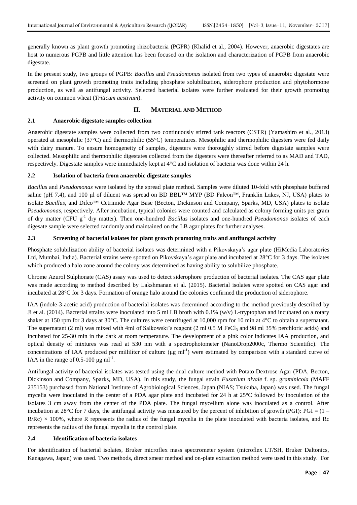generally known as plant growth promoting rhizobacteria (PGPR) (Khalid et al., 2004). However, anaerobic digestates are host to numerous PGPB and little attention has been focused on the isolation and characterization of PGPB from anaerobic digestate.

In the present study, two groups of PGPB: *Bacillus* and *Pseudomonas* isolated from two types of anaerobic digestate were screened on plant growth promoting traits including phosphate solubilization, siderophore production and phytohormone production, as well as antifungal activity. Selected bacterial isolates were further evaluated for their growth promoting activity on common wheat (*Triticum aestivum*).

## **II. MATERIAL AND METHOD**

#### **2.1 Anaerobic digestate samples collection**

Anaerobic digestate samples were collected from two continuously stirred tank reactors (CSTR) (Yamashiro et al., 2013) operated at mesophilic (37°C) and thermophilic (55°C) temperatures. Mesophilic and thermophilic digesters were fed daily with dairy manure. To ensure homogeneity of samples, digesters were thoroughly stirred before digestate samples were collected. Mesophilic and thermophilic digestates collected from the digesters were thereafter referred to as MAD and TAD, respectively. Digestate samples were immediately kept at 4°C and isolation of bacteria was done within 24 h.

## **2.2 Isolation of bacteria from anaerobic digestate samples**

*Bacillus* and *Pseudomonas* were isolated by the spread plate method. Samples were diluted 10-fold with phosphate buffered saline (pH 7.4), and 100 µl of diluent was spread on BD BBL™ MYP (BD Falcon™, Franklin Lakes, NJ, USA) plates to isolate *Bacillus*, and Difco™ Cetrimide Agar Base (Becton, Dickinson and Company, Sparks, MD, USA) plates to isolate *Pseudomonas*, respectively. After incubation, typical colonies were counted and calculated as colony forming units per gram of dry matter (CFU g<sup>-1</sup> dry matter). Then one-hundred *Bacillus* isolates and one-hundred *Pseudomonas* isolates of each digesate sample were selected randomly and maintained on the LB agar plates for further analyses.

#### **2.3 Screening of bacterial isolates for plant growth promoting traits and antifungal activity**

Phosphate solubilization ability of bacterial isolates was determined with a Pikovskaya's agar plate (HiMedia Laboratories Ltd, Mumbai, India). Bacterial strains were spotted on Pikovskaya's agar plate and incubated at 28°C for 3 days. The isolates which produced a halo zone around the colony was determined as having ability to solubilize phosphate.

Chrome Azurol Sulphonate (CAS) assay was used to detect siderophore production of bacterial isolates. The CAS agar plate was made according to method described by Lakshmanan et al. (2015). Bacterial isolates were spotted on CAS agar and incubated at 28°C for 3 days. Formation of orange halo around the colonies confirmed the production of siderophore.

IAA (indole-3-acetic acid) production of bacterial isolates was determined according to the method previously described by Ji et al. (2014). Bacterial strains were inoculated into 5 ml LB broth with 0.1% (w/v) L-tryptophan and incubated on a rotary shaker at 150 rpm for 3 days at 30°C. The cultures were centrifuged at 10,000 rpm for 10 min at 4°C to obtain a supernatant. The supernatant (2 ml) was mixed with 4ml of Salkowski's reagent (2 ml  $0.5$  M FeCl<sub>3</sub> and 98 ml 35% perchloric acids) and incubated for 25-30 min in the dark at room temperature. The development of a pink color indicates IAA production, and optical density of mixtures was read at 530 nm with a spectrophotometer (NanoDrop2000c, Thermo Scientific). The concentrations of IAA produced per milliliter of culture ( $\mu$ g ml<sup>-1</sup>) were estimated by comparison with a standard curve of IAA in the range of 0.5-100  $\mu$ g ml<sup>-1</sup>.

Antifungal activity of bacterial isolates was tested using the dual culture method with Potato Dextrose Agar (PDA, Becton, Dickinson and Company, Sparks, MD, USA). In this study, the fungal strain *Fusarium nivale* f. sp. g*raminicola* (MAFF 235153) purchased from National Institute of Agrobiological Sciences, Japan (NIAS; Tsukuba, Japan) was used. The fungal mycelia were inoculated in the center of a PDA agar plate and incubated for 24 h at 25°C followed by inoculation of the isolates 3 cm away from the center of the PDA plate. The fungal mycelium alone was inoculated as a control. After incubation at 28°C for 7 days, the antifungal activity was measured by the percent of inhibition of growth (PGI): PGI =  $(1 R/RC$ ) × 100%, where R represents the radius of the fungal mycelia in the plate inoculated with bacteria isolates, and Rc represents the radius of the fungal mycelia in the control plate.

#### **2.4 Identification of bacteria isolates**

For identification of bacterial isolates, Bruker microflex mass spectrometer system (microflex LT/SH, Bruker Daltonics, Kanagawa, Japan) was used. Two methods, direct smear method and on-plate extraction method were used in this study. For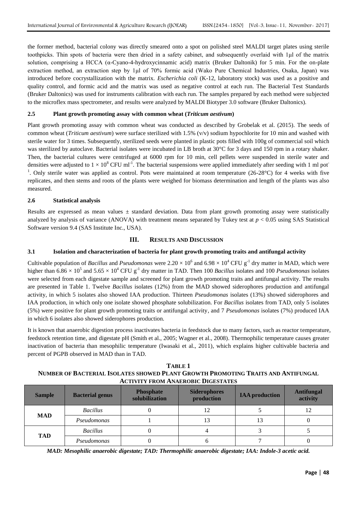the former method, bacterial colony was directly smeared onto a spot on polished steel MALDI target plates using sterile toothpicks. Thin spots of bacteria were then dried in a safety cabinet, and subsequently overlaid with 1μl of the matrix solution, comprising a HCCA ( $\alpha$ -Cyano-4-hydroxycinnamic acid) matrix (Bruker Daltonik) for 5 min. For the on-plate extraction method, an extraction step by 1μl of 70% formic acid (Wako Pure Chemical Industries, Osaka, Japan) was introduced before cocrystallization with the matrix. *Escherichia coli* (K-12, laboratory stock) was used as a positive and quality control, and formic acid and the matrix was used as negative control at each run. The Bacterial Test Standards (Bruker Daltonics) was used for instruments calibration with each run. The samples prepared by each method were subjected to the microflex mass spectrometer, and results were analyzed by MALDI Biotyper 3.0 software (Bruker Daltonics).

## **2.5 Plant growth promoting assay with common wheat (***Triticum aestivum***)**

Plant growth promoting assay with common wheat was conducted as described by Grobelak et al. (2015). The seeds of common wheat (*Triticum aestivum*) were surface sterilized with 1.5% (v/v) sodium hypochlorite for 10 min and washed with sterile water for 3 times. Subsequently, sterilized seeds were planted in plastic pots filled with 100g of commercial soil which was sterilized by autoclave. Bacterial isolates were incubated in LB broth at 30°C for 3 days and 150 rpm in a rotary shaker. Then, the bacterial cultures were centrifuged at 6000 rpm for 10 min, cell pellets were suspended in sterile water and densities were adjusted to  $1 \times 10^8$  CFU ml<sup>-1</sup>. The bacterial suspensions were applied immediately after seeding with 1 ml pot <sup>1</sup>. Only sterile water was applied as control. Pots were maintained at room temperature (26-28 $^{\circ}$ C) for 4 weeks with five replicates, and then stems and roots of the plants were weighed for biomass determination and length of the plants was also measured.

## **2.6 Statistical analysis**

Results are expressed as mean values  $\pm$  standard deviation. Data from plant growth promoting assay were statistically analyzed by analysis of variance (ANOVA) with treatment means separated by Tukey test at  $p < 0.05$  using SAS Statistical Software version 9.4 (SAS Institute Inc., USA).

## **III. RESULTS AND DISCUSSION**

## **3.1 Isolation and characterization of bacteria for plant growth promoting traits and antifungal activity**

Cultivable population of *Bacillus* and *Pseudomonas* were  $2.20 \times 10^6$  and  $6.98 \times 10^4$  CFU g<sup>-1</sup> dry matter in MAD, which were higher than  $6.86 \times 10^5$  and  $5.65 \times 10^4$  CFU g<sup>-1</sup> dry matter in TAD. Then 100 *Bacillus* isolates and 100 *Pseudomonas* isolates were selected from each digestate sample and screened for plant growth promoting traits and antifungal activity. The results are presented in Table 1. Twelve *Bacillus* isolates (12%) from the MAD showed siderophores production and antifungal activity, in which 5 isolates also showed IAA production. Thirteen *Pseudomonas* isolates (13%) showed siderophores and IAA production, in which only one isolate showed phosphate solubilization. For *Bacillus* isolates from TAD, only 5 isolates (5%) were positive for plant growth promoting traits or antifungal activity, and 7 *Pseudomonas* isolates (7%) produced IAA in which 6 isolates also showed siderophores production.

It is known that anaerobic digestion process inactivates bacteria in feedstock due to many factors, such as reactor temperature, feedstock retention time, and digestate pH (Smith et al., 2005; Wagner et al., 2008). Thermophilic temperature causes greater inactivation of bacteria than mesophilic temperature (Iwasaki et al., 2011), which explains higher cultivable bacteria and percent of PGPB observed in MAD than in TAD.

**TABLE 1 NUMBER OF BACTERIAL ISOLATES SHOWED PLANT GROWTH PROMOTING TRAITS AND ANTIFUNGAL ACTIVITY FROM ANAEROBIC DIGESTATES**

| <b>Sample</b> | <b>Bacterial genus</b> | <b>Phosphate</b><br>solubilization | <b>Siderophores</b><br>production | <b>IAA</b> production | <b>Antifungal</b><br>activity |
|---------------|------------------------|------------------------------------|-----------------------------------|-----------------------|-------------------------------|
| <b>MAD</b>    | <b>Bacillus</b>        |                                    | 12                                |                       |                               |
|               | Pseudomonas            |                                    | 13                                | 13                    |                               |
| <b>TAD</b>    | <b>Bacillus</b>        | U                                  |                                   |                       |                               |
|               | Pseudomonas            |                                    |                                   |                       |                               |

*MAD: Mesophilic anaerobic digestate; TAD: Thermophilic anaerobic digestate; IAA: Indole-3 acetic acid.*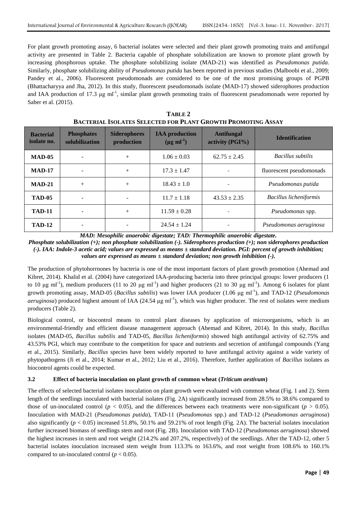For plant growth promoting assay, 6 bacterial isolates were selected and their plant growth promoting traits and antifungal activity are presented in Table 2. Bacteria capable of phosphate solubilization are known to promote plant growth by increasing phosphorous uptake. The phosphate solubilizing isolate (MAD-21) was identified as *Pseudomonas putida*. Similarly, phosphate solubilizing ability of *Pseudomonas putida* has been reported in previous studies (Malboobi et al., 2009; Pandey et al., 2006). Fluorescent pseudomonads are considered to be one of the most promising groups of PGPB (Bhattacharyya and Jha, 2012). In this study, fluorescent pseudomonads isolate (MAD-17) showed siderophores production and IAA production of 17.3  $\mu$ g ml<sup>-1</sup>, similar plant growth promoting traits of fluorescent pseudomonads were reported by Saber et al. (2015).

| <b>Bacterial</b><br>isolate no. | <b>Phosphates</b><br>solubilization | <b>Siderophores</b><br>production | <b>IAA</b> production<br>$(\mu g \text{ ml}^{-1})$ | <b>Antifungal</b><br>activity (PGI%) | <b>Identification</b>         |
|---------------------------------|-------------------------------------|-----------------------------------|----------------------------------------------------|--------------------------------------|-------------------------------|
| $\mathbf{MAD-05}$               |                                     | $^{+}$                            | $1.06 \pm 0.03$                                    | $62.75 \pm 2.45$                     | Bacillus subtilis             |
| <b>MAD-17</b>                   |                                     | $+$                               | $17.3 \pm 1.47$                                    |                                      | fluorescent pseudomonads      |
| $MAD-21$                        | $^{+}$                              | $+$                               | $18.43 \pm 1.0$                                    |                                      | Pseudomonas putida            |
| <b>TAD-05</b>                   |                                     |                                   | $11.7 \pm 1.18$                                    | $43.53 \pm 2.35$                     | <b>Bacillus licheniformis</b> |
| <b>TAD-11</b>                   |                                     | $^{+}$                            | $11.59 \pm 0.28$                                   |                                      | Pseudomonas spp.              |
| <b>TAD-12</b>                   |                                     |                                   | $24.54 \pm 1.24$                                   |                                      | Pseudomonas aeruginosa        |

| TABLE 2                                                             |
|---------------------------------------------------------------------|
| <b>BACTERIAL ISOLATES SELECTED FOR PLANT GROWTH PROMOTING ASSAY</b> |

*MAD: Mesophilic anaerobic digestate; TAD: Thermophilic anaerobic digestate.*

*Phosphate solubilization (+); non phosphate solubilization (-). Siderophores production (+); non siderophores production (-). IAA: Indole-3 acetic acid; values are expressed as means ± standard deviation. PGI: percent of growth inhibition; values are expressed as means ± standard deviation; non growth inhibition (-).*

The production of phytohorrnones by bacteria is one of the most important factors of plant growth promotion (Ahemad and Kibret, 2014). Khalid et al. (2004) have categorized IAA-producing bacteria into three principal groups: lower producers (1 to 10 μg ml<sup>-1</sup>), medium producers (11 to 20 μg ml<sup>-1</sup>) and higher producers (21 to 30 μg ml<sup>-1</sup>). Among 6 isolates for plant growth promoting assay, MAD-05 (*Bacillus subtilis*) was lower IAA producer (1.06 μg ml-1 ), and TAD-12 (*Pseudomonas*   $aeruginosa$ ) produced highest amount of IAA (24.54  $\mu$ g ml<sup>-1</sup>), which was higher producer. The rest of isolates were medium producers (Table 2).

Biological control, or biocontrol means to control plant diseases by application of microorganisms, which is an environmental-friendly and efficient disease management approach (Ahemad and Kibret, 2014). In this study, *Bacillus* isolates (MAD-05, *Bacillus subtilis* and TAD-05, *Bacillus licheniformis*) showed high antifungal activity of 62.75% and 43.53% PGI, which may contribute to the competition for space and nutrients and secretion of antifungal compounds (Yang et al., 2015). Similarly, *Bacillus* species have been widely reported to have antifungal activity against a wide variety of phytopathogens (Ji et al., 2014; Kumar et al., 2012; Liu et al., 2016). Therefore, further application of *Bacillus* isolates as biocontrol agents could be expected.

## **3.2 Effect of bacteria inoculation on plant growth of common wheat (***Triticum aestivum***)**

The effects of selected bacterial isolates inoculation on plant growth were evaluated with common wheat (Fig. 1 and 2). Stem length of the seedlings inoculated with bacterial isolates (Fig. 2A) significantly increased from 28.5% to 38.6% compared to those of un-inoculated control ( $p < 0.05$ ), and the differences between each treatments were non-significant ( $p > 0.05$ ). Inoculation with MAD-21 (*Pseudomonas putida*), TAD-11 (*Pseudomonas* spp.) and TAD-12 (*Pseudomonas aeruginosa*) also significantly ( $p < 0.05$ ) increased 51.8%, 50.1% and 59.21% of root length (Fig. 2A). The bacterial isolates inoculation further increased biomass of seedlings stem and root (Fig. 2B). Inoculation with TAD-12 (*Pseudomonas aeruginosa*) showed the highest increases in stem and root weight (214.2% and 207.2%, respectively) of the seedlings. After the TAD-12, other 5 bacterial isolates inoculation increased stem weight from 113.3% to 163.6%, and root weight from 108.6% to 160.1% compared to un-inoculated control  $(p < 0.05)$ .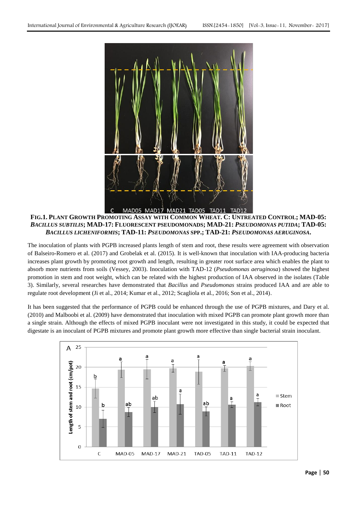

FIG.1. PLANT GROWTH PROMOTING ASSAY WITH COMMON WHEAT. C: UNTREATED CONTROL; MAD-05: *BACILLUS SUBTILIS***; MAD-17: FLUORESCENT PSEUDOMONADS; MAD-21:** *PSEUDOMONAS PUTIDA***; TAD-05:** *BACILLUS LICHENIFORMIS***; TAD-11:** *PSEUDOMONAS* **SPP.; TAD-21:** *PSEUDOMONAS AERUGINOSA***.**

The inoculation of plants with PGPB increased plants length of stem and root, these results were agreement with observation of Balseiro-Romero et al. (2017) and Grobelak et al. (2015). It is well-known that inoculation with IAA-producing bacteria increases plant growth by promoting root growth and length, resulting in greater root surface area which enables the plant to absorb more nutrients from soils (Vessey, 2003). Inoculation with TAD-12 (*Pseudomonas aeruginosa*) showed the highest promotion in stem and root weight, which can be related with the highest production of IAA observed in the isolates (Table 3). Similarly, several researches have demonstrated that *Bacillus* and *Pseudomonas* strains produced IAA and are able to regulate root development (Ji et al., 2014; Kumar et al., 2012; Scagliola et al., 2016; Son et al., 2014).

It has been suggested that the performance of PGPB could be enhanced through the use of PGPB mixtures, and Dary et al. (2010) and Malboobi et al. (2009) have demonstrated that inoculation with mixed PGPB can promote plant growth more than a single strain. Although the effects of mixed PGPB inoculant were not investigated in this study, it could be expected that digestate is an inoculant of PGPB mixtures and promote plant growth more effective than single bacterial strain inoculant.

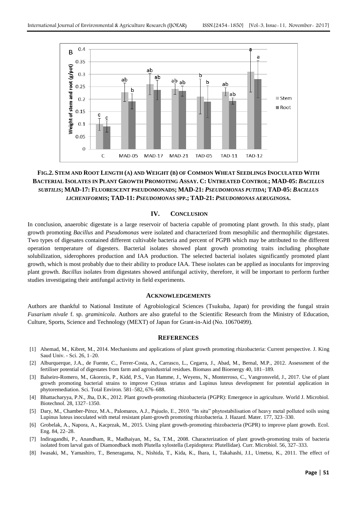

# FIG.2. STEM AND ROOT LENGTH (A) AND WEIGHT (B) OF COMMON WHEAT SEEDLINGS INOCULATED WITH BACTERIAL ISOLATES IN PLANT GROWTH PROMOTING ASSAY. C: UNTREATED CONTROL; MAD-05: BACILLUS *SUBTILIS***; MAD-17: FLUORESCENT PSEUDOMONADS; MAD-21:** *PSEUDOMONAS PUTIDA***; TAD-05:** *BACILLUS LICHENIFORMIS***; TAD-11:** *PSEUDOMONAS* **SPP.; TAD-21:** *PSEUDOMONAS AERUGINOSA***.**

#### **IV. CONCLUSION**

In conclusion, anaerobic digestate is a large reservoir of bacteria capable of promoting plant growth. In this study, plant growth promoting *Bacillus* and *Pseudomonas* were isolated and characterized from mesophilic and thermophilic digestates. Two types of digesates contained different cultivable bacteria and percent of PGPB which may be attributed to the different operation temperature of digesters. Bacterial isolates showed plant growth promoting traits including phosphate solubilization, siderophores production and IAA production. The selected bacterial isolates significantly promoted plant growth, which is most probably due to their ability to produce IAA. These isolates can be applied as inoculants for improving plant growth. *Bacillus* isolates from digestates showed antifungal activity, therefore, it will be important to perform further studies investigating their antifungal activity in field experiments.

#### **ACKNOWLEDGEMENTS**

Authors are thankful to National Institute of Agrobiological Sciences (Tsukuba, Japan) for providing the fungal strain *Fusarium nivale* f. sp. *graminicola*. Authors are also grateful to the Scientific Research from the Ministry of Education, Culture, Sports, Science and Technology (MEXT) of Japan for Grant-in-Aid (No. 10670499).

#### **REFERENCES**

- [1] Ahemad, M., Kibret, M., 2014. Mechanisms and applications of plant growth promoting rhizobacteria: Current perspective. J. King Saud Univ. - Sci. 26, 1–20.
- [2] Alburquerque, J.A., de Fuente, C., Ferrer-Costa, A., Carrasco, L., Cegarra, J., Abad, M., Bernal, M.P., 2012. Assessment of the fertiliser potential of digestates from farm and agroindustrial residues. Biomass and Bioenergy 40, 181–189.
- [3] Balseiro-Romero, M., Gkorezis, P., Kidd, P.S., Van Hamme, J., Weyens, N., Monterroso, C., Vangronsveld, J., 2017. Use of plant growth promoting bacterial strains to improve Cytisus striatus and Lupinus luteus development for potential application in phytoremediation. Sci. Total Environ. 581–582, 676–688.
- [4] Bhattacharyya, P.N., Jha, D.K., 2012. Plant growth-promoting rhizobacteria (PGPR): Emergence in agriculture. World J. Microbiol. Biotechnol. 28, 1327–1350.
- [5] Dary, M., Chamber-Pérez, M.A., Palomares, A.J., Pajuelo, E., 2010. "In situ" phytostabilisation of heavy metal polluted soils using Lupinus luteus inoculated with metal resistant plant-growth promoting rhizobacteria. J. Hazard. Mater. 177, 323–330.
- [6] Grobelak, A., Napora, A., Kacprzak, M., 2015. Using plant growth-promoting rhizobacteria (PGPR) to improve plant growth. Ecol. Eng. 84, 22–28.
- [7] Indiragandhi, P., Anandham, R., Madhaiyan, M., Sa, T.M., 2008. Characterization of plant growth-promoting traits of bacteria isolated from larval guts of Diamondback moth Plutella xylostella (Lepidoptera: Plutellidae). Curr. Microbiol. 56, 327–333.
- [8] Iwasaki, M., Yamashiro, T., Beneragama, N., Nishida, T., Kida, K., Ihara, I., Takahashi, J.I., Umetsu, K., 2011. The effect of